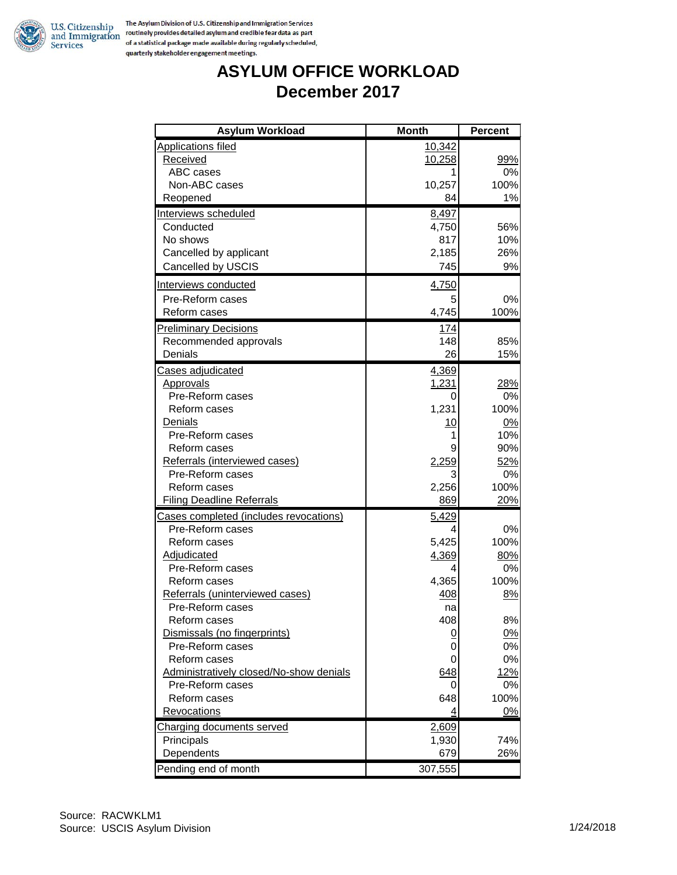

### **ASYLUM OFFICE WORKLOAD December 2017**

| <b>Asylum Workload</b>                  | <b>Month</b> | <b>Percent</b> |
|-----------------------------------------|--------------|----------------|
| <b>Applications filed</b>               | 10,342       |                |
| <b>Received</b>                         | 10,258       | 99%            |
| ABC cases                               |              | 0%             |
| Non-ABC cases                           | 10,257       | 100%           |
| Reopened                                | 84           | 1%             |
| Interviews scheduled                    | 8,497        |                |
| Conducted                               | 4,750        | 56%            |
| No shows                                | 817          | 10%            |
| Cancelled by applicant                  | 2,185        | 26%            |
| Cancelled by USCIS                      | 745          | 9%             |
| Interviews conducted                    | 4,750        |                |
| Pre-Reform cases                        | 5            | 0%             |
| Reform cases                            | 4,745        | 100%           |
| <b>Preliminary Decisions</b>            | <u>174</u>   |                |
| Recommended approvals                   | 148          | 85%            |
| Denials                                 | 26           | 15%            |
| Cases adjudicated                       | 4,369        |                |
| <b>Approvals</b>                        | 1,231        | 28%            |
| Pre-Reform cases                        | 0            | 0%             |
| Reform cases                            | 1,231        | 100%           |
| Denials                                 | 10           | 0%             |
| Pre-Reform cases                        | 1            | 10%            |
| Reform cases                            | 9            | 90%            |
| Referrals (interviewed cases)           | 2,259        | 52%            |
| Pre-Reform cases                        | 3            | 0%             |
| Reform cases                            | 2,256        | 100%           |
| <b>Filing Deadline Referrals</b>        | 869          | 20%            |
| Cases completed (includes revocations)  | 5,429        |                |
| Pre-Reform cases                        | 4            | 0%             |
| Reform cases                            | 5,425        | 100%           |
| Adjudicated                             | 4,369        | 80%            |
| Pre-Reform cases                        | 4            | 0%             |
| Reform cases                            | 4,365        | 100%           |
| Referrals (uninterviewed cases)         | 408          | 8%             |
| Pre-Reform cases                        | na           |                |
| Reform cases                            | 408          | 8%             |
| Dismissals (no fingerprints)            | <u>0</u>     | 0%             |
| Pre-Reform cases                        | 0            | 0%             |
| Reform cases                            | 0            | 0%             |
| Administratively closed/No-show denials | 648          | 12%            |
| Pre-Reform cases                        | 0            | 0%<br>100%     |
| Reform cases                            | 648          |                |
| Revocations                             | 4            | 0%             |
| <b>Charging documents served</b>        | 2,609        |                |
| Principals<br>Dependents                | 1,930<br>679 | 74%<br>26%     |
|                                         |              |                |
| Pending end of month                    | 307,555      |                |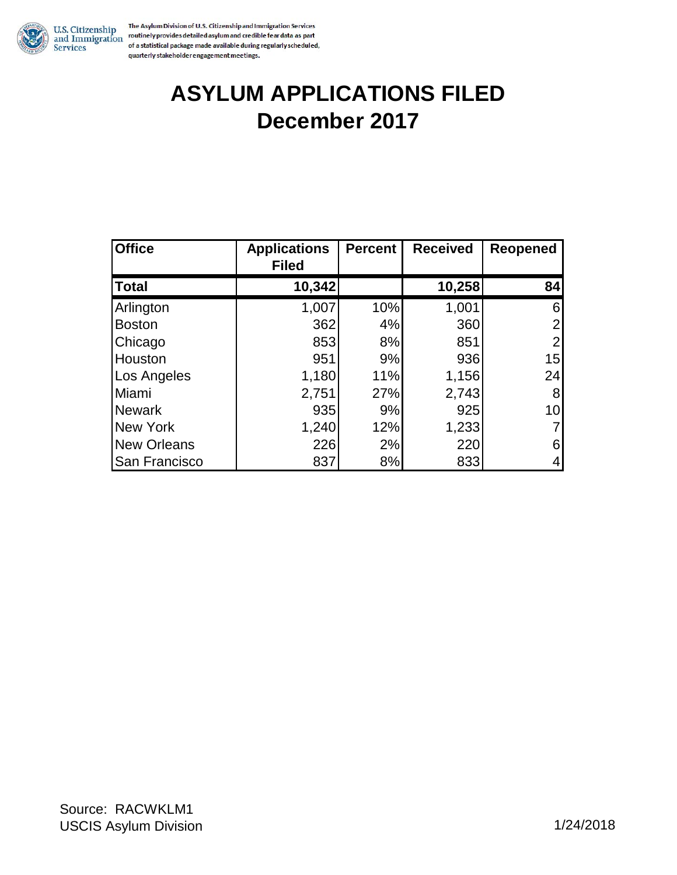

The Asylum Division of U.S. Citizenship and Immigration Services U.S. Citizenship<br>and Immigration continely provides detailed asylum and credible fear data as part<br>Services of a statistical package made available during regularly scheduled, quarterly stakeholder engagement meetings.

### **ASYLUM APPLICATIONS FILED December 2017**

| <b>Office</b>      | <b>Applications</b><br><b>Filed</b> | <b>Percent</b> | <b>Received</b> | Reopened       |
|--------------------|-------------------------------------|----------------|-----------------|----------------|
| <b>Total</b>       | 10,342                              |                | 10,258          | 84             |
| Arlington          | 1,007                               | 10%            | 1,001           | 6              |
| <b>Boston</b>      | 362                                 | 4%             | 360             | 2              |
| Chicago            | 853                                 | 8%             | 851             | $\overline{2}$ |
| Houston            | 951                                 | 9%             | 936             | 15             |
| Los Angeles        | 1,180                               | 11%            | 1,156           | 24             |
| Miami              | 2,751                               | 27%            | 2,743           | 8              |
| Newark             | 935                                 | 9%             | 925             | 10             |
| New York           | 1,240                               | 12%            | 1,233           |                |
| <b>New Orleans</b> | 226                                 | 2%             | 220             | 6              |
| San Francisco      | 837                                 | 8%             | 833             |                |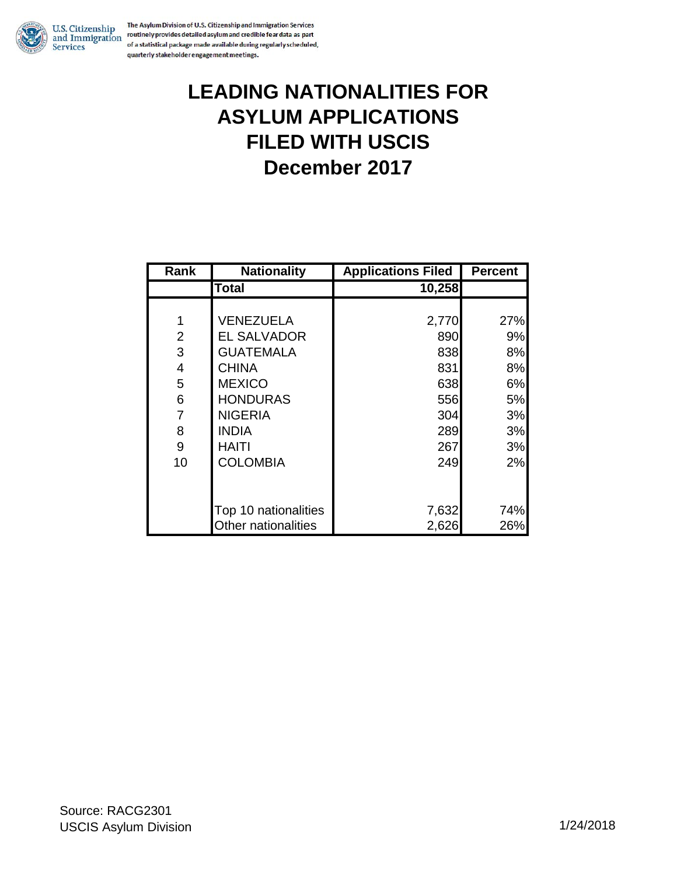

The Asylum Division of U.S. Citizenship and Immigration Services U.S. Citizenship the Asylum Division of O.S. Cutzenship and immigration services<br>and Immigration routinely provides detailed asylum and credible fear data as part of a statistical package made available during regularly scheduled, quarterly stakeholder engagement meetings.

### **LEADING NATIONALITIES FOR ASYLUM APPLICATIONS FILED WITH USCIS December 2017**

| Rank           | <b>Nationality</b>   | <b>Applications Filed</b> | <b>Percent</b> |
|----------------|----------------------|---------------------------|----------------|
|                | Total                | 10,258                    |                |
|                |                      |                           |                |
| 1              | <b>VENEZUELA</b>     | 2,770                     | 27%            |
| 2              | <b>EL SALVADOR</b>   | 890                       | 9%             |
| 3              | <b>GUATEMALA</b>     | 838                       | 8%             |
| 4              | <b>CHINA</b>         | 831                       | 8%             |
| 5              | <b>MEXICO</b>        | 638                       | 6%             |
| 6              | <b>HONDURAS</b>      | 556                       | 5%             |
| $\overline{7}$ | <b>NIGERIA</b>       | 304                       | 3%             |
| 8              | <b>INDIA</b>         | 289                       | 3%             |
| 9              | HAITI                | 267                       | 3%             |
| 10             | <b>COLOMBIA</b>      | 249                       | 2%             |
|                |                      |                           |                |
|                |                      |                           |                |
|                | Top 10 nationalities | 7,632                     | 74%            |
|                | Other nationalities  | 2,626                     | 26%            |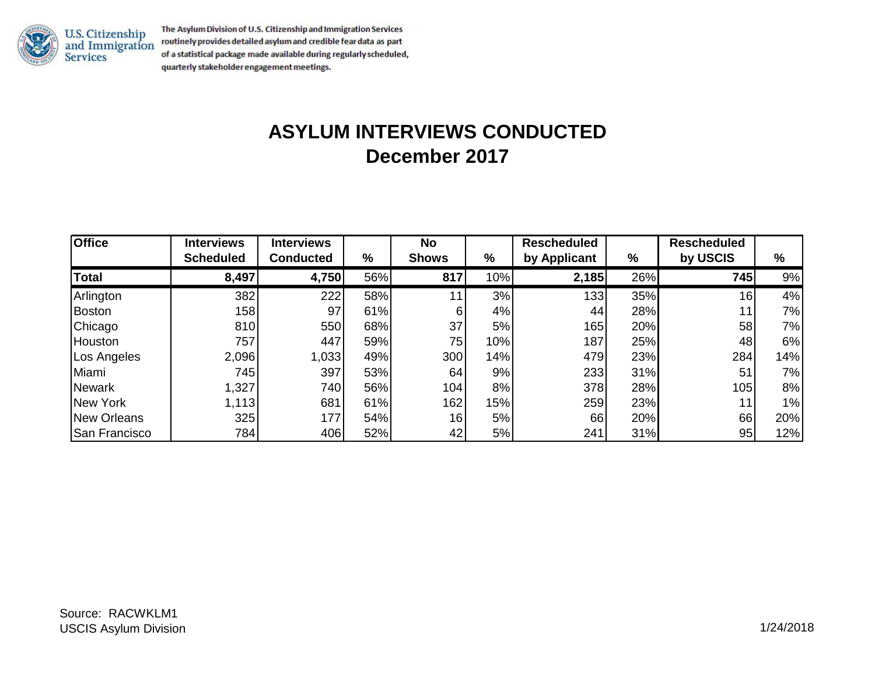

U.S. Citizenship<br>and Immigration<br>Services

The Asylum Division of U.S. Citizenship and Immigration Services routinely provides detailed asylum and credible fear data as part of a statistical package made available during regularly scheduled, quarterly stakeholder engagement meetings.

# **ASYLUM INTERVIEWS CONDUCTED December 2017**

| <b>Office</b> | <b>Interviews</b> | <b>Interviews</b> |     | No              |     | <b>Rescheduled</b> |     | <b>Rescheduled</b> |     |
|---------------|-------------------|-------------------|-----|-----------------|-----|--------------------|-----|--------------------|-----|
|               | <b>Scheduled</b>  | <b>Conducted</b>  | %   | <b>Shows</b>    | %   | by Applicant       | %   | by USCIS           | %   |
| <b>Total</b>  | 8,497             | 4,750             | 56% | 817             | 10% | 2,185              | 26% | 745                | 9%  |
| Arlington     | 382               | 222               | 58% | 11              | 3%  | 133 <sup>1</sup>   | 35% | 16                 | 4%  |
| <b>Boston</b> | 158               | 97                | 61% | 6               | 4%  | 44                 | 28% | 11                 | 7%  |
| Chicago       | 810               | 550               | 68% | 37              | 5%  | 165                | 20% | 58                 | 7%  |
| Houston       | 757               | 447               | 59% | 75              | 10% | 187                | 25% | 48                 | 6%  |
| Los Angeles   | 2,096             | 1,033             | 49% | 300             | 14% | 479                | 23% | 284                | 14% |
| Miami         | 745               | 397               | 53% | 64              | 9%  | 233                | 31% | 51                 | 7%  |
| <b>Newark</b> | 1,327             | 740               | 56% | 104             | 8%  | 378                | 28% | 105                | 8%  |
| New York      | 1,113             | 681               | 61% | 162             | 15% | 259                | 23% | 11                 | 1%  |
| New Orleans   | 325               | 177               | 54% | 16 <sub>1</sub> | 5%  | 66                 | 20% | 66                 | 20% |
| San Francisco | 784               | 406               | 52% | 42              | 5%  | 241                | 31% | 95                 | 12% |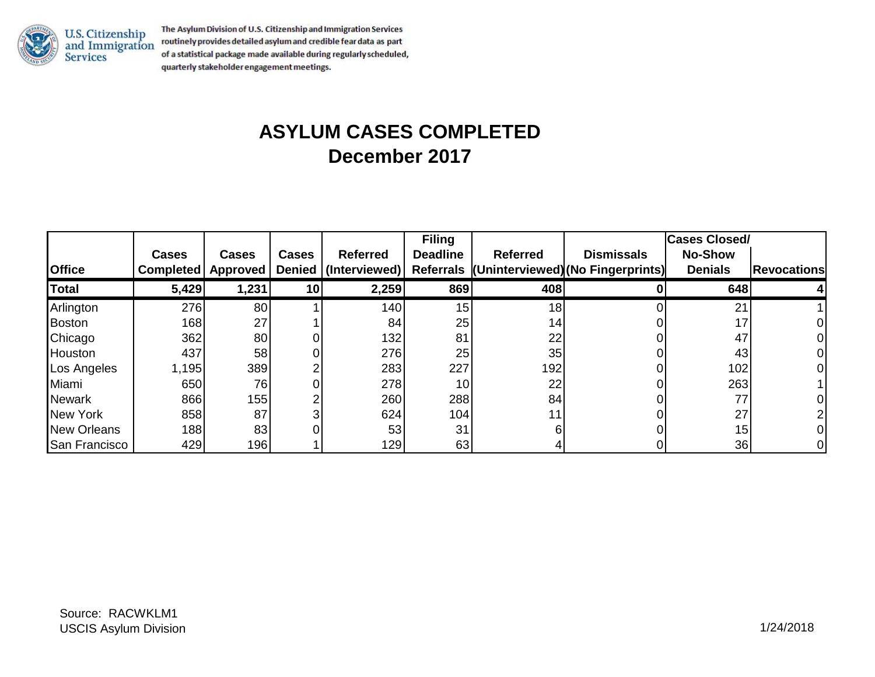

The Asylum Division of U.S. Citizenship and Immigration Services U.S. Citizenship<br>and Immigration<br>Services routinely provides detailed asylum and credible fear data as part of a statistical package made available during regularly scheduled, quarterly stakeholder engagement meetings.

## **ASYLUM CASES COMPLETED December 2017**

|                 |                  |          |              |                      | <b>Filing</b>   |                 |                                             | <b>Cases Closed/</b> |                    |
|-----------------|------------------|----------|--------------|----------------------|-----------------|-----------------|---------------------------------------------|----------------------|--------------------|
|                 | <b>Cases</b>     | Cases    | <b>Cases</b> | <b>Referred</b>      | <b>Deadline</b> | <b>Referred</b> | <b>Dismissals</b>                           | <b>No-Show</b>       |                    |
| <b>Office</b>   | <b>Completed</b> | Approved |              | Denied (Interviewed) |                 |                 | Referrals (Uninterviewed) (No Fingerprints) | <b>Denials</b>       | <b>Revocations</b> |
| <b>Total</b>    | 5,429            | 1,231    | 10           | 2,259                | 869             | 408             |                                             | 648                  |                    |
| Arlington       | 276              | 80       |              | 140                  | 15              | 18              |                                             | 21                   |                    |
| Boston          | 168              | 27       |              | 84                   | 25              | 14              |                                             | 17                   |                    |
| Chicago         | 362              | 80       |              | 132                  | 81              | 22              |                                             | 47                   |                    |
| Houston         | 437              | 58       |              | 276                  | 25              | 35              |                                             | 43                   |                    |
| Los Angeles     | 1,195            | 389      |              | 283                  | 227             | 192             |                                             | 102                  |                    |
| Miami           | 650              | 76       |              | 278                  | 10              | 22              |                                             | 263                  |                    |
| <b>Newark</b>   | 866              | 155      |              | 260                  | 288             | 84              |                                             | 77                   |                    |
| <b>New York</b> | 858              | 87       |              | 624                  | 104             |                 |                                             | 27                   |                    |
| New Orleans     | 188              | 83       |              | 53                   | 31              |                 |                                             | 15                   |                    |
| San Francisco   | 429              | 196      |              | 129                  | 63              |                 |                                             | 36                   |                    |